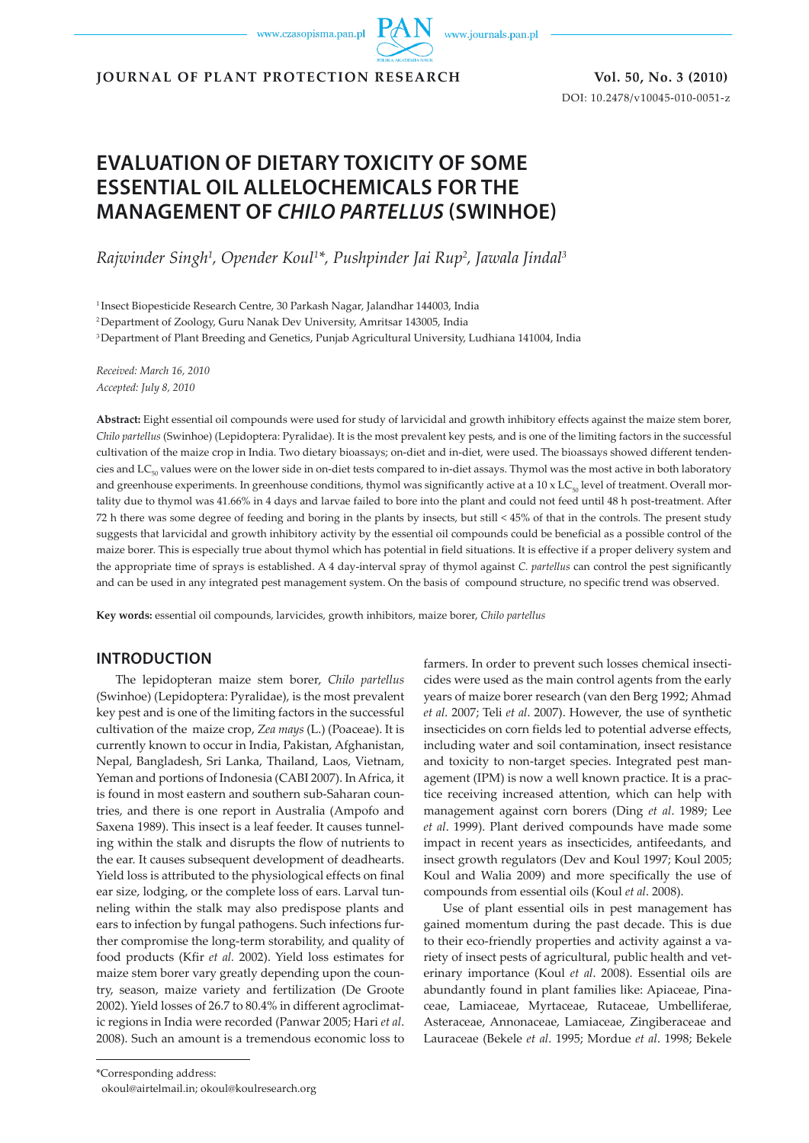www.czasopisma.pan.pl



**JOURNAL OF PLANT PROTECTION RESEARCH Vol. 50, No. 3 (2010)**

DOI: 10.2478/v10045-010-0051-z

# **EVALUATION OF DIETARY TOXICITY OF SOME ESSENTIAL OIL ALLELOCHEMICALS FOR THE MANAGEMENT OF** *CHILO PARTELLUS* **(SWINHOE)**

*Rajwinder Singh1 , Opender Koul1 \*, Pushpinder Jai Rup2 , Jawala Jindal3*

<sup>1</sup> Insect Biopesticide Research Centre, 30 Parkash Nagar, Jalandhar 144003, India

2 Department of Zoology, Guru Nanak Dev University, Amritsar 143005, India

3 Department of Plant Breeding and Genetics, Punjab Agricultural University, Ludhiana 141004, India

*Received: March 16, 2010 Accepted: July 8, 2010*

**Abstract:** Eight essential oil compounds were used for study of larvicidal and growth inhibitory effects against the maize stem borer, *Chilo partellus* (Swinhoe) (Lepidoptera: Pyralidae). It is the most prevalent key pests, and is one of the limiting factors in the successful cultivation of the maize crop in India. Two dietary bioassays; on-diet and in-diet, were used. The bioassays showed different tendencies and LC<sub>50</sub> values were on the lower side in on-diet tests compared to in-diet assays. Thymol was the most active in both laboratory and greenhouse experiments. In greenhouse conditions, thymol was significantly active at a 10 x  $LC_{\rm so}$  level of treatment. Overall mortality due to thymol was 41.66% in 4 days and larvae failed to bore into the plant and could not feed until 48 h post-treatment. After 72 h there was some degree of feeding and boring in the plants by insects, but still < 45% of that in the controls. The present study suggests that larvicidal and growth inhibitory activity by the essential oil compounds could be beneficial as a possible control of the maize borer. This is especially true about thymol which has potential in field situations. It is effective if a proper delivery system and the appropriate time of sprays is established. A 4 day-interval spray of thymol against *C. partellus* can control the pest significantly and can be used in any integrated pest management system. On the basis of compound structure, no specific trend was observed.

**Key words:** essential oil compounds, larvicides, growth inhibitors, maize borer, *Chilo partellus*

## **INTRODUCTION**

The lepidopteran maize stem borer, *Chilo partellus* (Swinhoe) (Lepidoptera: Pyralidae), is the most prevalent key pest and is one of the limiting factors in the successful cultivation of the maize crop, *Zea mays* (L.) (Poaceae). It is currently known to occur in India, Pakistan, Afghanistan, Nepal, Bangladesh, Sri Lanka, Thailand, Laos, Vietnam, Yeman and portions of Indonesia (CABI 2007). In Africa, it is found in most eastern and southern sub-Saharan countries, and there is one report in Australia (Ampofo and Saxena 1989). This insect is a leaf feeder. It causes tunneling within the stalk and disrupts the flow of nutrients to the ear. It causes subsequent development of deadhearts. Yield loss is attributed to the physiological effects on final ear size, lodging, or the complete loss of ears. Larval tunneling within the stalk may also predispose plants and ears to infection by fungal pathogens. Such infections further compromise the long-term storability, and quality of food products (Kfir *et al.* 2002). Yield loss estimates for maize stem borer vary greatly depending upon the country, season, maize variety and fertilization (De Groote 2002). Yield losses of 26.7 to 80.4% in different agroclimatic regions in India were recorded (Panwar 2005; Hari *et al*. 2008). Such an amount is a tremendous economic loss to farmers. In order to prevent such losses chemical insecticides were used as the main control agents from the early years of maize borer research (van den Berg 1992; Ahmad *et al*. 2007; Teli *et al*. 2007). However, the use of synthetic insecticides on corn fields led to potential adverse effects, including water and soil contamination, insect resistance and toxicity to non-target species. Integrated pest management (IPM) is now a well known practice. It is a practice receiving increased attention, which can help with management against corn borers (Ding *et al*. 1989; Lee *et al*. 1999). Plant derived compounds have made some impact in recent years as insecticides, antifeedants, and insect growth regulators (Dev and Koul 1997; Koul 2005; Koul and Walia 2009) and more specifically the use of compounds from essential oils (Koul *et al*. 2008).

Use of plant essential oils in pest management has gained momentum during the past decade. This is due to their eco-friendly properties and activity against a variety of insect pests of agricultural, public health and veterinary importance (Koul *et al*. 2008). Essential oils are abundantly found in plant families like: Apiaceae, Pinaceae, Lamiaceae, Myrtaceae, Rutaceae, Umbelliferae, Asteraceae, Annonaceae, Lamiaceae, Zingiberaceae and Lauraceae (Bekele *et al*. 1995; Mordue *et al*. 1998; Bekele

okoul@airtelmail.in; okoul@koulresearch.org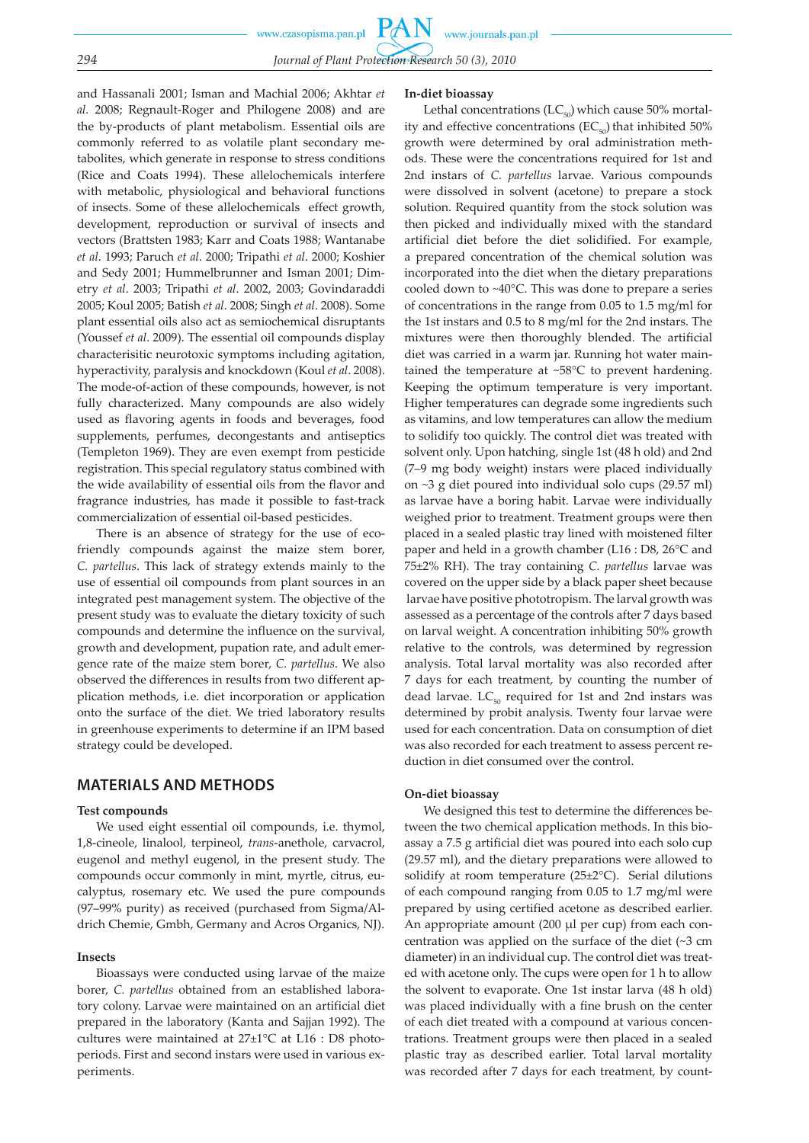**PAN** www.czasopisma.pan.pl www.journals.pan.pl *294 Journal of Plant Protection Research 50 (3), 2010*

and Hassanali 2001; Isman and Machial 2006; Akhtar *et al.* 2008; Regnault-Roger and Philogene 2008) and are the by-products of plant metabolism. Essential oils are commonly referred to as volatile plant secondary metabolites, which generate in response to stress conditions (Rice and Coats 1994). These allelochemicals interfere with metabolic, physiological and behavioral functions of insects. Some of these allelochemicals effect growth, development, reproduction or survival of insects and vectors (Brattsten 1983; Karr and Coats 1988; Wantanabe *et al*. 1993; Paruch *et al*. 2000; Tripathi *et al*. 2000; Koshier and Sedy 2001; Hummelbrunner and Isman 2001; Dimetry *et al*. 2003; Tripathi *et al*. 2002, 2003; Govindaraddi 2005; Koul 2005; Batish *et al*. 2008; Singh *et al*. 2008). Some plant essential oils also act as semiochemical disruptants (Youssef *et al*. 2009). The essential oil compounds display characterisitic neurotoxic symptoms including agitation, hyperactivity, paralysis and knockdown (Koul *et al*. 2008). The mode-of-action of these compounds, however, is not fully characterized. Many compounds are also widely used as flavoring agents in foods and beverages, food supplements, perfumes, decongestants and antiseptics (Templeton 1969). They are even exempt from pesticide registration. This special regulatory status combined with the wide availability of essential oils from the flavor and fragrance industries, has made it possible to fast-track commercialization of essential oil-based pesticides.

There is an absence of strategy for the use of ecofriendly compounds against the maize stem borer, *C. partellus*. This lack of strategy extends mainly to the use of essential oil compounds from plant sources in an integrated pest management system. The objective of the present study was to evaluate the dietary toxicity of such compounds and determine the influence on the survival, growth and development, pupation rate, and adult emergence rate of the maize stem borer, *C. partellus*. We also observed the differences in results from two different application methods, i.e. diet incorporation or application onto the surface of the diet. We tried laboratory results in greenhouse experiments to determine if an IPM based strategy could be developed.

# **MATERIALS AND METHODS**

#### **Test compounds**

We used eight essential oil compounds, i.e. thymol, 1,8-cineole, linalool, terpineol, *trans*-anethole, carvacrol, eugenol and methyl eugenol, in the present study. The compounds occur commonly in mint, myrtle, citrus, eucalyptus, rosemary etc. We used the pure compounds (97–99% purity) as received (purchased from Sigma/Aldrich Chemie, Gmbh, Germany and Acros Organics, NJ).

### **Insects**

Bioassays were conducted using larvae of the maize borer, *C. partellus* obtained from an established laboratory colony. Larvae were maintained on an artificial diet prepared in the laboratory (Kanta and Sajjan 1992). The cultures were maintained at 27±1°C at L16 : D8 photoperiods. First and second instars were used in various experiments.

#### **In-diet bioassay**

Lethal concentrations  $(LC_{50})$  which cause 50% mortality and effective concentrations  $(EC_{50})$  that inhibited 50% growth were determined by oral administration methods. These were the concentrations required for 1st and 2nd instars of *C. partellus* larvae. Various compounds were dissolved in solvent (acetone) to prepare a stock solution. Required quantity from the stock solution was then picked and individually mixed with the standard artificial diet before the diet solidified. For example, a prepared concentration of the chemical solution was incorporated into the diet when the dietary preparations cooled down to ~40°C. This was done to prepare a series of concentrations in the range from 0.05 to 1.5 mg/ml for the 1st instars and 0.5 to 8 mg/ml for the 2nd instars. The mixtures were then thoroughly blended. The artificial diet was carried in a warm jar. Running hot water maintained the temperature at ~58°C to prevent hardening. Keeping the optimum temperature is very important. Higher temperatures can degrade some ingredients such as vitamins, and low temperatures can allow the medium to solidify too quickly. The control diet was treated with solvent only. Upon hatching, single 1st (48 h old) and 2nd (7–9 mg body weight) instars were placed individually on ~3 g diet poured into individual solo cups (29.57 ml) as larvae have a boring habit. Larvae were individually weighed prior to treatment. Treatment groups were then placed in a sealed plastic tray lined with moistened filter paper and held in a growth chamber (L16 : D8, 26°C and 75±2% RH). The tray containing *C. partellus* larvae was covered on the upper side by a black paper sheet because larvae have positive phototropism. The larval growth was assessed as a percentage of the controls after 7 days based on larval weight. A concentration inhibiting 50% growth relative to the controls, was determined by regression analysis. Total larval mortality was also recorded after 7 days for each treatment, by counting the number of dead larvae.  $LC_{50}$  required for 1st and 2nd instars was determined by probit analysis. Twenty four larvae were used for each concentration. Data on consumption of diet was also recorded for each treatment to assess percent reduction in diet consumed over the control.

#### **On-diet bioassay**

We designed this test to determine the differences between the two chemical application methods. In this bioassay a 7.5 g artificial diet was poured into each solo cup (29.57 ml), and the dietary preparations were allowed to solidify at room temperature (25±2°C). Serial dilutions of each compound ranging from 0.05 to 1.7 mg/ml were prepared by using certified acetone as described earlier. An appropriate amount (200 µl per cup) from each concentration was applied on the surface of the diet (~3 cm diameter) in an individual cup. The control diet was treated with acetone only. The cups were open for 1 h to allow the solvent to evaporate. One 1st instar larva (48 h old) was placed individually with a fine brush on the center of each diet treated with a compound at various concentrations. Treatment groups were then placed in a sealed plastic tray as described earlier. Total larval mortality was recorded after 7 days for each treatment, by count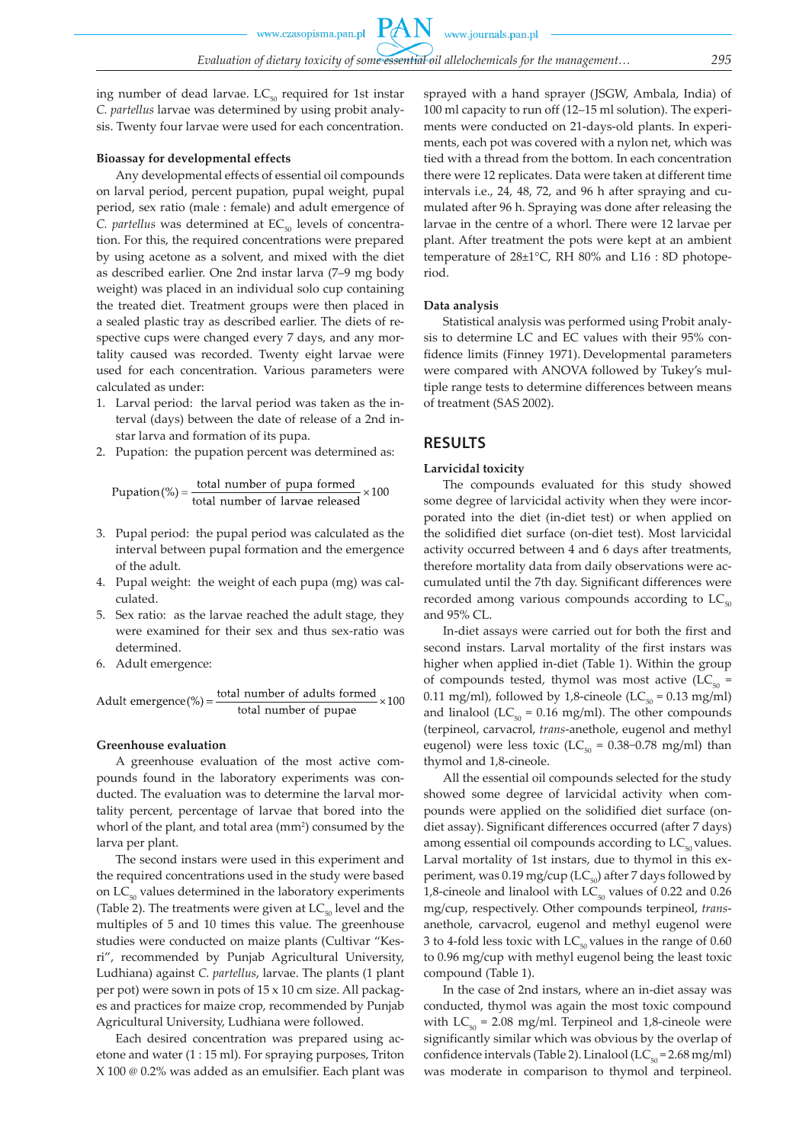ing number of dead larvae.  $LC_{50}$  required for 1st instar *C. partellus* larvae was determined by using probit analysis. Twenty four larvae were used for each concentration.

#### **Bioassay for developmental effects**

Any developmental effects of essential oil compounds on larval period, percent pupation, pupal weight, pupal period, sex ratio (male : female) and adult emergence of *C. partellus* was determined at EC<sub>50</sub> levels of concentration. For this, the required concentrations were prepared by using acetone as a solvent, and mixed with the diet as described earlier. One 2nd instar larva (7–9 mg body weight) was placed in an individual solo cup containing the treated diet. Treatment groups were then placed in a sealed plastic tray as described earlier. The diets of respective cups were changed every 7 days, and any mortality caused was recorded. Twenty eight larvae were used for each concentration. Various parameters were calculated as under:

- 1. Larval period:the larval period was taken as the interval (days) between the date of release of a 2nd instar larva and formation of its pupa.
- 2. Pupation:the pupation percent was determined as:

$$
Pupation (%) = \frac{\text{total number of pupa formed}}{\text{total number of larvae released}} \times 100
$$

- 3. Pupal period:the pupal period was calculated as the interval between pupal formation and the emergence of the adult.
- 4. Pupal weight: the weight of each pupa (mg) was calculated.
- 5. Sex ratio: as the larvae reached the adult stage, they were examined for their sex and thus sex-ratio was determined.
- 6. Adult emergence:

$$
A \text{dult emergence}(\%) = \frac{\text{total number of adults formed}}{\text{total number of pupae}} \times 100
$$

#### **Greenhouse evaluation**

A greenhouse evaluation of the most active compounds found in the laboratory experiments was conducted. The evaluation was to determine the larval mortality percent, percentage of larvae that bored into the whorl of the plant, and total area (mm<sup>2</sup>) consumed by the larva per plant.

The second instars were used in this experiment and the required concentrations used in the study were based on  $LC_{50}$  values determined in the laboratory experiments (Table 2). The treatments were given at  $LC_{50}$  level and the multiples of 5 and 10 times this value. The greenhouse studies were conducted on maize plants (Cultivar "Kesri", recommended by Punjab Agricultural University, Ludhiana) against *C. partellus*, larvae. The plants (1 plant per pot) were sown in pots of 15 x 10 cm size. All packages and practices for maize crop, recommended by Punjab Agricultural University, Ludhiana were followed.

Each desired concentration was prepared using acetone and water (1 : 15 ml). For spraying purposes, Triton X 100 @ 0.2% was added as an emulsifier. Each plant was sprayed with a hand sprayer (JSGW, Ambala, India) of 100 ml capacity to run off (12–15 ml solution). The experiments were conducted on 21-days-old plants. In experiments, each pot was covered with a nylon net, which was tied with a thread from the bottom. In each concentration there were 12 replicates. Data were taken at different time intervals i.e., 24, 48, 72, and 96 h after spraying and cumulated after 96 h. Spraying was done after releasing the larvae in the centre of a whorl. There were 12 larvae per plant. After treatment the pots were kept at an ambient temperature of 28±1°C, RH 80% and L16 : 8D photoperiod.

#### **Data analysis**

Statistical analysis was performed using Probit analysis to determine LC and EC values with their 95% confidence limits (Finney 1971). Developmental parameters were compared with ANOVA followed by Tukey's multiple range tests to determine differences between means of treatment (SAS 2002).

### **RESULTS**

#### **Larvicidal toxicity**

The compounds evaluated for this study showed some degree of larvicidal activity when they were incorporated into the diet (in-diet test) or when applied on the solidified diet surface (on-diet test). Most larvicidal activity occurred between 4 and 6 days after treatments, therefore mortality data from daily observations were accumulated until the 7th day. Significant differences were recorded among various compounds according to  $LC_{50}$ and 95% CL.

In-diet assays were carried out for both the first and second instars. Larval mortality of the first instars was higher when applied in-diet (Table 1). Within the group of compounds tested, thymol was most active  $(LC_{50} =$ 0.11 mg/ml), followed by 1,8-cineole (LC $_{50}$  = 0.13 mg/ml) and linalool ( $LC_{50} = 0.16$  mg/ml). The other compounds (terpineol, carvacrol, *trans*-anethole, eugenol and methyl eugenol) were less toxic (LC<sub>50</sub> = 0.38–0.78 mg/ml) than thymol and 1,8-cineole.

All the essential oil compounds selected for the study showed some degree of larvicidal activity when compounds were applied on the solidified diet surface (ondiet assay). Significant differences occurred (after 7 days) among essential oil compounds according to  $LC_{50}$  values. Larval mortality of 1st instars, due to thymol in this experiment, was 0.19 mg/cup ( $LC_{50}$ ) after 7 days followed by 1,8-cineole and linalool with  $LC_{50}$  values of 0.22 and 0.26 mg/cup, respectively. Other compounds terpineol, *trans*anethole, carvacrol, eugenol and methyl eugenol were 3 to 4-fold less toxic with  $LC_{50}$  values in the range of 0.60 to 0.96 mg/cup with methyl eugenol being the least toxic compound (Table 1).

In the case of 2nd instars, where an in-diet assay was conducted, thymol was again the most toxic compound with  $LC_{50} = 2.08$  mg/ml. Terpineol and 1,8-cineole were significantly similar which was obvious by the overlap of confidence intervals (Table 2). Linalool ( $LC_{50} = 2.68$  mg/ml) was moderate in comparison to thymol and terpineol.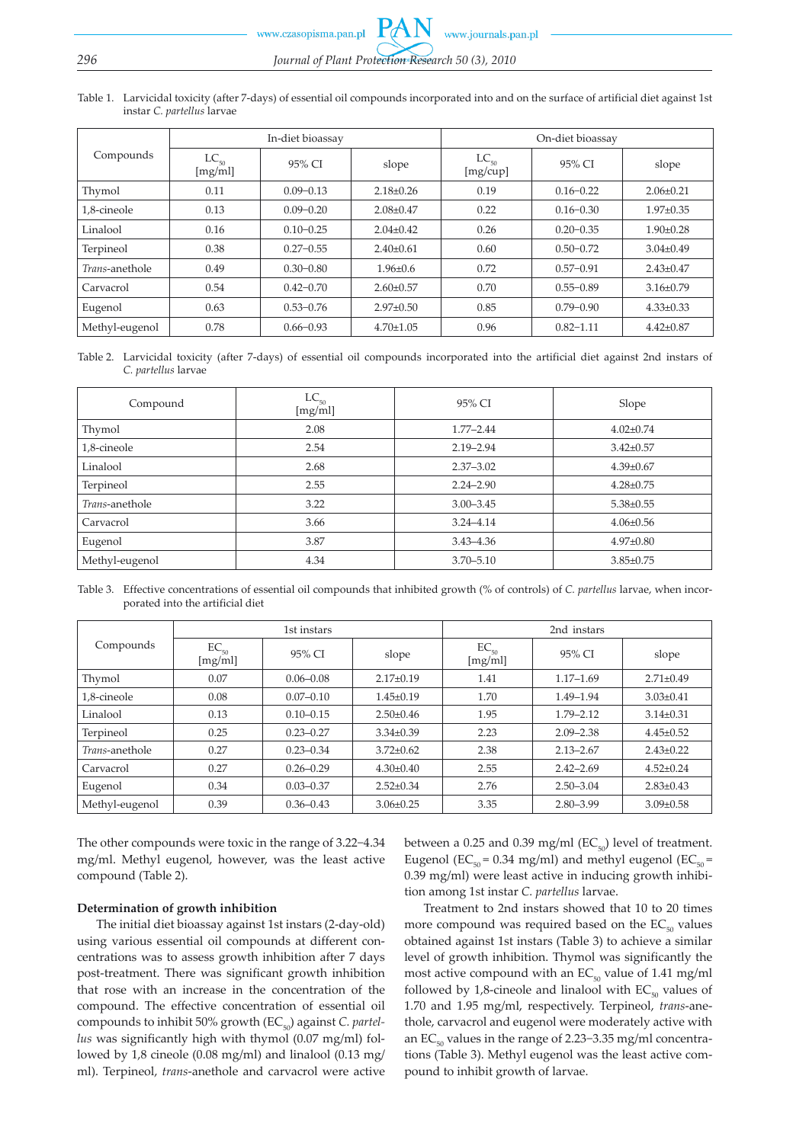www.czasopisma.pan.pl w.journals.pan.pl

| Table 1. Larvicidal toxicity (after 7-days) of essential oil compounds incorporated into and on the surface of artificial diet against 1st |
|--------------------------------------------------------------------------------------------------------------------------------------------|
| instar C. <i>partellus</i> larvae                                                                                                          |

|                | In-diet bioassay     |               |                 | On-diet bioassay      |               |                 |
|----------------|----------------------|---------------|-----------------|-----------------------|---------------|-----------------|
| Compounds      | $LC_{50}$<br>[mg/ml] | 95% CI        | slope           | $LC_{50}$<br>[mg/cup] | 95% CI        | slope           |
| Thymol         | 0.11                 | $0.09 - 0.13$ | $2.18 \pm 0.26$ | 0.19                  | $0.16 - 0.22$ | $2.06 \pm 0.21$ |
| 1,8-cineole    | 0.13                 | $0.09 - 0.20$ | $2.08 \pm 0.47$ | 0.22                  | $0.16 - 0.30$ | $1.97 \pm 0.35$ |
| Linalool       | 0.16                 | $0.10 - 0.25$ | $2.04\pm0.42$   | 0.26                  | $0.20 - 0.35$ | $1.90 \pm 0.28$ |
| Terpineol      | 0.38                 | $0.27 - 0.55$ | $2.40\pm0.61$   | 0.60                  | $0.50 - 0.72$ | $3.04\pm0.49$   |
| Trans-anethole | 0.49                 | $0.30 - 0.80$ | $1.96 \pm 0.6$  | 0.72                  | $0.57 - 0.91$ | $2.43 \pm 0.47$ |
| Carvacrol      | 0.54                 | $0.42 - 0.70$ | $2.60 \pm 0.57$ | 0.70                  | $0.55 - 0.89$ | $3.16 \pm 0.79$ |
| Eugenol        | 0.63                 | $0.53 - 0.76$ | $2.97 \pm 0.50$ | 0.85                  | $0.79 - 0.90$ | $4.33 \pm 0.33$ |
| Methyl-eugenol | 0.78                 | $0.66 - 0.93$ | $4.70 \pm 1.05$ | 0.96                  | $0.82 - 1.11$ | $4.42 \pm 0.87$ |

Table 2. Larvicidal toxicity (after 7-days) of essential oil compounds incorporated into the artificial diet against 2nd instars of *C. partellus* larvae

| Compound       | $LC_{50}$<br>[mg/ml] | 95% CI        | Slope           |
|----------------|----------------------|---------------|-----------------|
| Thymol         | 2.08                 | $1.77 - 2.44$ | $4.02 \pm 0.74$ |
| 1,8-cineole    | 2.54                 | $2.19 - 2.94$ | $3.42 \pm 0.57$ |
| Linalool       | 2.68                 | $2.37 - 3.02$ | $4.39 \pm 0.67$ |
| Terpineol      | 2.55                 | $2.24 - 2.90$ | $4.28 \pm 0.75$ |
| Trans-anethole | 3.22                 | $3.00 - 3.45$ | $5.38 \pm 0.55$ |
| Carvacrol      | 3.66                 | $3.24 - 4.14$ | $4.06 \pm 0.56$ |
| Eugenol        | 3.87                 | $3.43 - 4.36$ | $4.97 \pm 0.80$ |
| Methyl-eugenol | 4.34                 | $3.70 - 5.10$ | $3.85 \pm 0.75$ |

Table 3. Effective concentrations of essential oil compounds that inhibited growth (% of controls) of *C. partellus* larvae, when incorporated into the artificial diet

|                | 1st instars          |               |                 | 2nd instars          |               |                 |
|----------------|----------------------|---------------|-----------------|----------------------|---------------|-----------------|
| Compounds      | $EC_{50}$<br>[mg/ml] | 95% CI        | slope           | $EC_{50}$<br>[mg/ml] | 95% CI        | slope           |
| Thymol         | 0.07                 | $0.06 - 0.08$ | $2.17 \pm 0.19$ | 1.41                 | $1.17 - 1.69$ | $2.71 \pm 0.49$ |
| 1,8-cineole    | 0.08                 | $0.07 - 0.10$ | $1.45 \pm 0.19$ | 1.70                 | 1.49-1.94     | $3.03 \pm 0.41$ |
| Linalool       | 0.13                 | $0.10 - 0.15$ | $2.50 \pm 0.46$ | 1.95                 | $1.79 - 2.12$ | $3.14 \pm 0.31$ |
| Terpineol      | 0.25                 | $0.23 - 0.27$ | $3.34\pm0.39$   | 2.23                 | $2.09 - 2.38$ | $4.45 \pm 0.52$ |
| Trans-anethole | 0.27                 | $0.23 - 0.34$ | $3.72 \pm 0.62$ | 2.38                 | $2.13 - 2.67$ | $2.43 \pm 0.22$ |
| Carvacrol      | 0.27                 | $0.26 - 0.29$ | $4.30 \pm 0.40$ | 2.55                 | $2.42 - 2.69$ | $4.52 \pm 0.24$ |
| Eugenol        | 0.34                 | $0.03 - 0.37$ | $2.52 \pm 0.34$ | 2.76                 | $2.50 - 3.04$ | $2.83 \pm 0.43$ |
| Methyl-eugenol | 0.39                 | $0.36 - 0.43$ | $3.06 \pm 0.25$ | 3.35                 | $2.80 - 3.99$ | $3.09 \pm 0.58$ |

The other compounds were toxic in the range of 3.22−4.34 mg/ml. Methyl eugenol, however, was the least active compound (Table 2).

#### **Determination of growth inhibition**

The initial diet bioassay against 1st instars (2-day-old) using various essential oil compounds at different concentrations was to assess growth inhibition after 7 days post-treatment. There was significant growth inhibition that rose with an increase in the concentration of the compound. The effective concentration of essential oil compounds to inhibit 50% growth (EC<sub>50</sub>) against *C. partellus* was significantly high with thymol (0.07 mg/ml) followed by 1,8 cineole (0.08 mg/ml) and linalool (0.13 mg/ ml). Terpineol, *trans*-anethole and carvacrol were active between a 0.25 and 0.39 mg/ml ( $EC_{50}$ ) level of treatment. Eugenol (EC<sub>50</sub> = 0.34 mg/ml) and methyl eugenol (EC<sub>50</sub> = 0.39 mg/ml) were least active in inducing growth inhibition among 1st instar *C. partellus* larvae.

Treatment to 2nd instars showed that 10 to 20 times more compound was required based on the  $EC_{50}$  values obtained against 1st instars (Table 3) to achieve a similar level of growth inhibition. Thymol was significantly the most active compound with an  $EC_{50}$  value of 1.41 mg/ml followed by 1,8-cineole and linalool with  $EC_{50}$  values of 1.70 and 1.95 mg/ml, respectively. Terpineol, *trans*-anethole, carvacrol and eugenol were moderately active with an  $EC_{50}$  values in the range of 2.23–3.35 mg/ml concentrations (Table 3). Methyl eugenol was the least active compound to inhibit growth of larvae.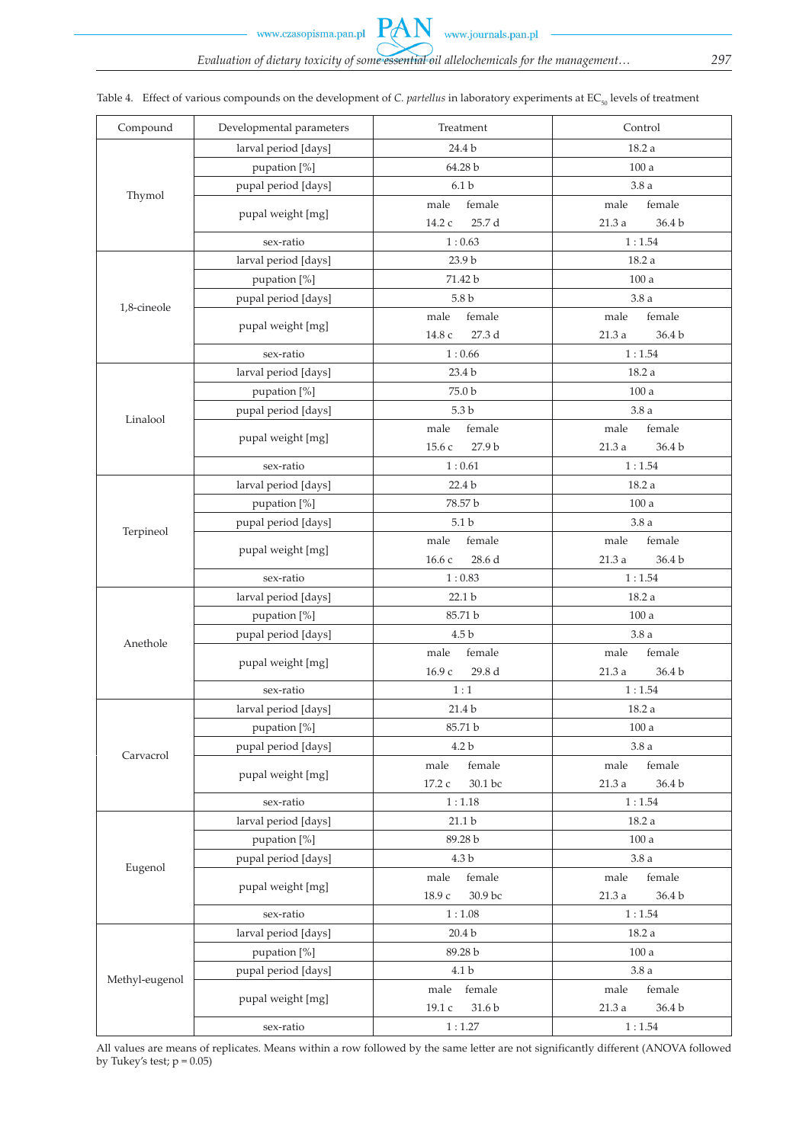www.czasopisma.pan.pl

| Compound       | Developmental parameters            | Treatment                | Control          |
|----------------|-------------------------------------|--------------------------|------------------|
|                | larval period [days]                | 24.4 b                   | 18.2 a           |
|                | pupation [%]                        | 64.28 b                  | 100a             |
|                | pupal period [days]                 | 6.1 <sub>b</sub>         | 3.8a             |
| Thymol         |                                     | female<br>male           | female<br>male   |
|                | pupal weight [mg]                   | 14.2 c<br>25.7 d         | 36.4 b<br>21.3 a |
|                | sex-ratio                           | 1:0.63                   | 1:1.54           |
|                | larval period [days]                | 23.9 b                   | 18.2 a           |
|                |                                     | 71.42 b                  | 100a             |
|                | pupation [%]<br>pupal period [days] | 5.8 <sub>b</sub>         | 3.8a             |
| 1,8-cineole    |                                     | female<br>male           | female<br>male   |
|                | pupal weight [mg]                   | 27.3 d                   |                  |
|                | sex-ratio                           | $14.8\ c$                | 36.4 b<br>21.3 a |
|                |                                     | 1:0.66                   | 1:1.54           |
|                | larval period [days]                | 23.4 b                   | 18.2 a           |
|                | pupation [%]                        | 75.0 b                   | 100a             |
| Linalool       | pupal period [days]                 | 5.3 <sub>b</sub>         | 3.8a             |
|                | pupal weight [mg]                   | female<br>male           | female<br>male   |
|                |                                     | 27.9 b<br>15.6 с         | 21.3 a<br>36.4 b |
|                | sex-ratio                           | 1:0.61                   | 1:1.54           |
|                | larval period [days]                | 22.4 <sub>b</sub>        | 18.2 a           |
|                | pupation [%]                        | 78.57 b                  | 100a             |
| Terpineol      | pupal period [days]                 | 5.1 <sub>b</sub>         | 3.8a             |
|                | pupal weight [mg]                   | female<br>male           | female<br>male   |
|                |                                     | 28.6 d<br>16.6 с         | 36.4 b<br>21.3a  |
|                | sex-ratio                           | 1:0.83                   | 1:1.54           |
|                | larval period [days]                | 22.1 b                   | 18.2a            |
|                | pupation [%]                        | 85.71 b                  | $100\ \rm{a}$    |
| Anethole       | pupal period [days]                 | 4.5 <sub>b</sub>         | 3.8a             |
|                | pupal weight [mg]                   | female<br>male           | female<br>male   |
|                |                                     | 16.9 с<br>29.8 d         | 36.4 b<br>21.3a  |
|                | sex-ratio                           | 1:1                      | 1:1.54           |
|                | larval period [days]                | 21.4 b                   | 18.2 a           |
|                | pupation [%]                        | 85.71 b                  | 100a             |
| Carvacrol      | pupal period [days]                 | 4.2 <sub>b</sub>         | 3.8a             |
|                | pupal weight [mg]                   | female<br>male           | female<br>male   |
|                |                                     | 30.1 bc<br>17.2 c        | 21.3a<br>36.4 b  |
|                | sex-ratio                           | 1:1.18                   | 1:1.54           |
|                | larval period [days]                | $21.1b$                  | 18.2 a           |
|                | pupation [%]                        | 89.28 b                  | 100a             |
|                | pupal period [days]                 | 4.3 b                    | 3.8a             |
| Eugenol        |                                     | female<br>male           | female<br>male   |
|                | pupal weight [mg]                   | 18.9 с<br>30.9 bc        | 21.3 a<br>36.4 b |
|                | sex-ratio                           | 1:1.08                   | 1:1.54           |
|                | larval period [days]                | 20.4 <sub>b</sub>        | 18.2 a           |
|                | pupation [%]                        | 89.28 b<br>$100\ \rm{a}$ |                  |
|                | pupal period [days]                 | 4.1 b                    | 3.8a             |
| Methyl-eugenol |                                     | female<br>male           | female<br>male   |
|                | pupal weight [mg]                   | 19.1 c<br>31.6 b         | 21.3a<br>36.4 b  |
|                | sex-ratio                           | 1:1.27                   | 1:1.54           |

|  | Table 4. Effect of various compounds on the development of C. <i>partellus</i> in laboratory experiments at EC <sub>50</sub> levels of treatment |  |  |  |  |
|--|--------------------------------------------------------------------------------------------------------------------------------------------------|--|--|--|--|
|--|--------------------------------------------------------------------------------------------------------------------------------------------------|--|--|--|--|

All values are means of replicates. Means within a row followed by the same letter are not significantly different (ANOVA followed by Tukey's test;  $p = 0.05$ )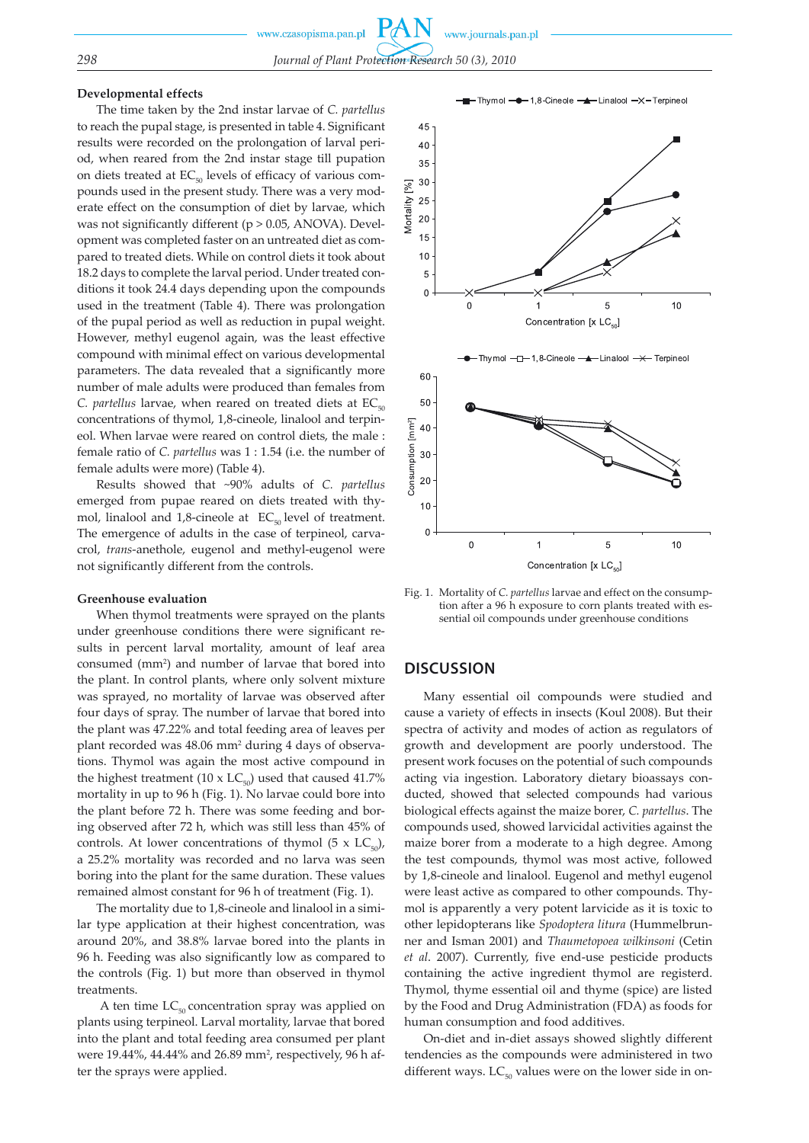#### **Developmental effects**

The time taken by the 2nd instar larvae of *C. partellus* to reach the pupal stage, is presented in table 4. Significant results were recorded on the prolongation of larval period, when reared from the 2nd instar stage till pupation on diets treated at  $EC_{50}$  levels of efficacy of various compounds used in the present study. There was a very moderate effect on the consumption of diet by larvae, which was not significantly different ( $p > 0.05$ , ANOVA). Development was completed faster on an untreated diet as compared to treated diets. While on control diets it took about 18.2 days to complete the larval period. Under treated conditions it took 24.4 days depending upon the compounds used in the treatment (Table 4). There was prolongation of the pupal period as well as reduction in pupal weight. However, methyl eugenol again, was the least effective compound with minimal effect on various developmental parameters. The data revealed that a significantly more number of male adults were produced than females from *C. partellus* larvae, when reared on treated diets at  $EC_{50}$ concentrations of thymol, 1,8-cineole, linalool and terpineol. When larvae were reared on control diets, the male : female ratio of *C. partellus* was 1 : 1.54 (i.e. the number of female adults were more) (Table 4).

Results showed that ~90% adults of *C. partellus* emerged from pupae reared on diets treated with thymol, linalool and 1,8-cineole at  $EC_{50}$  level of treatment. The emergence of adults in the case of terpineol, carvacrol, *trans*-anethole, eugenol and methyl-eugenol were not significantly different from the controls.

#### **Greenhouse evaluation**

When thymol treatments were sprayed on the plants under greenhouse conditions there were significant results in percent larval mortality, amount of leaf area consumed (mm2 ) and number of larvae that bored into the plant. In control plants, where only solvent mixture was sprayed, no mortality of larvae was observed after four days of spray. The number of larvae that bored into the plant was 47.22% and total feeding area of leaves per plant recorded was 48.06 mm2 during 4 days of observations. Thymol was again the most active compound in the highest treatment (10 x  $LC_{50}$ ) used that caused 41.7% mortality in up to 96 h (Fig. 1). No larvae could bore into the plant before 72 h. There was some feeding and boring observed after 72 h, which was still less than 45% of controls. At lower concentrations of thymol  $(5 \times LC_{50})$ , a 25.2% mortality was recorded and no larva was seen boring into the plant for the same duration. These values remained almost constant for 96 h of treatment (Fig. 1).

The mortality due to 1,8-cineole and linalool in a similar type application at their highest concentration, was around 20%, and 38.8% larvae bored into the plants in 96 h. Feeding was also significantly low as compared to the controls (Fig. 1) but more than observed in thymol treatments.

A ten time  $LC_{50}$  concentration spray was applied on plants using terpineol. Larval mortality, larvae that bored into the plant and total feeding area consumed per plant were 19.44%, 44.44% and 26.89 mm2 , respectively, 96 h after the sprays were applied.



Fig. 1. Mortality of *C. partellus* larvae and effect on the consumption after a 96 h exposure to corn plants treated with essential oil compounds under greenhouse conditions

# **DISCUSSION**

Many essential oil compounds were studied and cause a variety of effects in insects (Koul 2008). But their spectra of activity and modes of action as regulators of growth and development are poorly understood. The present work focuses on the potential of such compounds acting via ingestion. Laboratory dietary bioassays conducted, showed that selected compounds had various biological effects against the maize borer, *C. partellus*. The compounds used, showed larvicidal activities against the maize borer from a moderate to a high degree. Among the test compounds, thymol was most active, followed by 1,8-cineole and linalool. Eugenol and methyl eugenol were least active as compared to other compounds. Thymol is apparently a very potent larvicide as it is toxic to other lepidopterans like *Spodoptera litura* (Hummelbrunner and Isman 2001) and *Thaumetopoea wilkinsoni* (Cetin *et al*. 2007). Currently, five end-use pesticide products containing the active ingredient thymol are registerd. Thymol, thyme essential oil and thyme (spice) are listed by the Food and Drug Administration (FDA) as foods for human consumption and food additives.

On-diet and in-diet assays showed slightly different tendencies as the compounds were administered in two different ways.  $LC_{50}$  values were on the lower side in on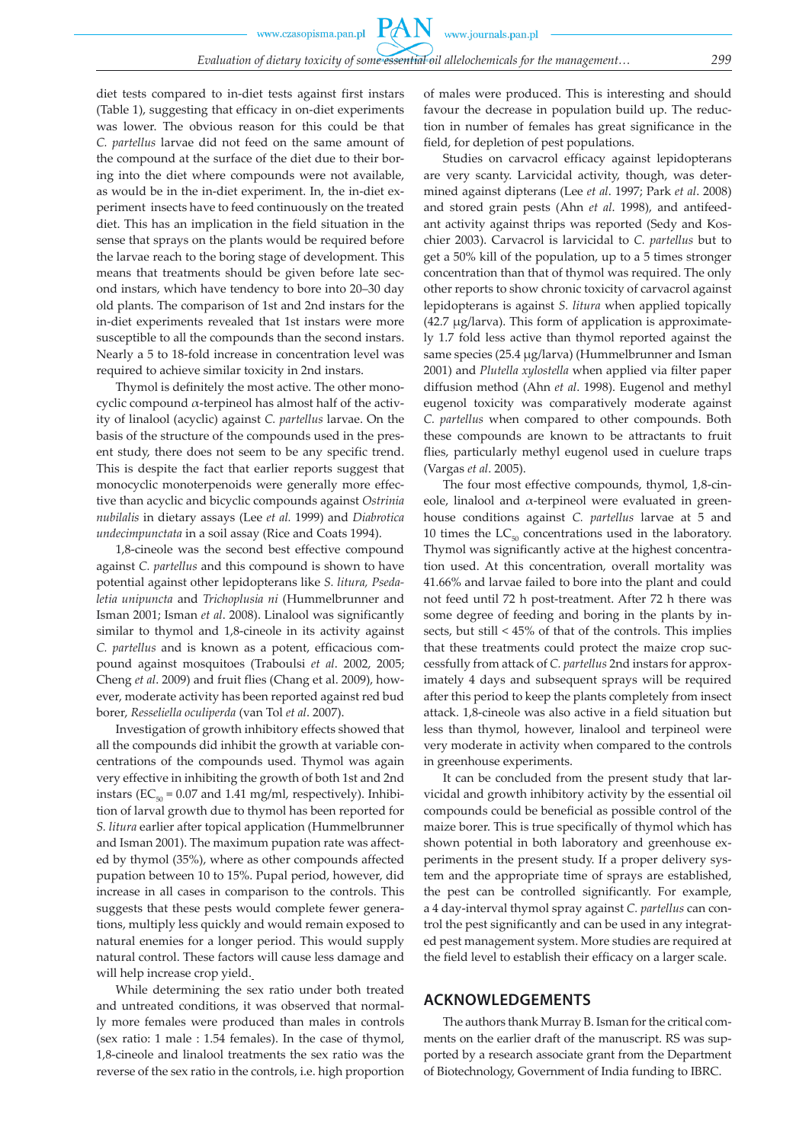diet tests compared to in-diet tests against first instars (Table 1), suggesting that efficacy in on-diet experiments was lower. The obvious reason for this could be that *C. partellus* larvae did not feed on the same amount of the compound at the surface of the diet due to their boring into the diet where compounds were not available, as would be in the in-diet experiment. In, the in-diet experiment insects have to feed continuously on the treated diet. This has an implication in the field situation in the sense that sprays on the plants would be required before the larvae reach to the boring stage of development. This means that treatments should be given before late second instars, which have tendency to bore into 20–30 day old plants. The comparison of 1st and 2nd instars for the in-diet experiments revealed that 1st instars were more susceptible to all the compounds than the second instars. Nearly a 5 to 18-fold increase in concentration level was required to achieve similar toxicity in 2nd instars.

Thymol is definitely the most active. The other monocyclic compound α-terpineol has almost half of the activity of linalool (acyclic) against *C. partellus* larvae. On the basis of the structure of the compounds used in the present study, there does not seem to be any specific trend. This is despite the fact that earlier reports suggest that monocyclic monoterpenoids were generally more effective than acyclic and bicyclic compounds against *Ostrinia nubilalis* in dietary assays (Lee *et al.* 1999) and *Diabrotica undecimpunctata* in a soil assay (Rice and Coats 1994).

1,8-cineole was the second best effective compound against *C. partellus* and this compound is shown to have potential against other lepidopterans like *S. litura, Psedaletia unipuncta* and *Trichoplusia ni* (Hummelbrunner and Isman 2001; Isman *et al*. 2008). Linalool was significantly similar to thymol and 1,8-cineole in its activity against *C. partellus* and is known as a potent, efficacious compound against mosquitoes (Traboulsi *et al*. 2002, 2005; Cheng *et al*. 2009) and fruit flies (Chang et al. 2009), however, moderate activity has been reported against red bud borer, *Resseliella oculiperda* (van Tol *et al*. 2007).

Investigation of growth inhibitory effects showed that all the compounds did inhibit the growth at variable concentrations of the compounds used. Thymol was again very effective in inhibiting the growth of both 1st and 2nd instars ( $EC_{50} = 0.07$  and 1.41 mg/ml, respectively). Inhibition of larval growth due to thymol has been reported for *S. litura* earlier after topical application (Hummelbrunner and Isman 2001). The maximum pupation rate was affected by thymol (35%), where as other compounds affected pupation between 10 to 15%. Pupal period, however, did increase in all cases in comparison to the controls. This suggests that these pests would complete fewer generations, multiply less quickly and would remain exposed to natural enemies for a longer period. This would supply natural control. These factors will cause less damage and will help increase crop yield.

While determining the sex ratio under both treated and untreated conditions, it was observed that normally more females were produced than males in controls (sex ratio: 1 male : 1.54 females). In the case of thymol, 1,8-cineole and linalool treatments the sex ratio was the reverse of the sex ratio in the controls, i.e. high proportion of males were produced. This is interesting and should favour the decrease in population build up. The reduction in number of females has great significance in the field, for depletion of pest populations.

Studies on carvacrol efficacy against lepidopterans are very scanty. Larvicidal activity, though, was determined against dipterans (Lee *et al*. 1997; Park *et al*. 2008) and stored grain pests (Ahn *et al*. 1998), and antifeedant activity against thrips was reported (Sedy and Koschier 2003). Carvacrol is larvicidal to *C. partellus* but to get a 50% kill of the population, up to a 5 times stronger concentration than that of thymol was required. The only other reports to show chronic toxicity of carvacrol against lepidopterans is against *S. litura* when applied topically  $(42.7 \mu g / \text{larva})$ . This form of application is approximately 1.7 fold less active than thymol reported against the same species (25.4 µg/larva) (Hummelbrunner and Isman 2001) and *Plutella xylostella* when applied via filter paper diffusion method (Ahn *et al*. 1998). Eugenol and methyl eugenol toxicity was comparatively moderate against *C. partellus* when compared to other compounds. Both these compounds are known to be attractants to fruit flies, particularly methyl eugenol used in cuelure traps (Vargas *et al*. 2005).

The four most effective compounds, thymol, 1,8-cineole, linalool and  $\alpha$ -terpineol were evaluated in greenhouse conditions against *C. partellus* larvae at 5 and 10 times the  $LC_{50}$  concentrations used in the laboratory. Thymol was significantly active at the highest concentration used. At this concentration, overall mortality was 41.66% and larvae failed to bore into the plant and could not feed until 72 h post-treatment. After 72 h there was some degree of feeding and boring in the plants by insects, but still < 45% of that of the controls. This implies that these treatments could protect the maize crop successfully from attack of *C. partellus* 2nd instars for approximately 4 days and subsequent sprays will be required after this period to keep the plants completely from insect attack. 1,8-cineole was also active in a field situation but less than thymol, however, linalool and terpineol were very moderate in activity when compared to the controls in greenhouse experiments.

It can be concluded from the present study that larvicidal and growth inhibitory activity by the essential oil compounds could be beneficial as possible control of the maize borer. This is true specifically of thymol which has shown potential in both laboratory and greenhouse experiments in the present study. If a proper delivery system and the appropriate time of sprays are established, the pest can be controlled significantly. For example, a 4 day-interval thymol spray against *C. partellus* can control the pest significantly and can be used in any integrated pest management system. More studies are required at the field level to establish their efficacy on a larger scale.

#### **ACKNOWLEDGEMENTS**

The authors thank Murray B. Isman for the critical comments on the earlier draft of the manuscript. RS was supported by a research associate grant from the Department of Biotechnology, Government of India funding to IBRC.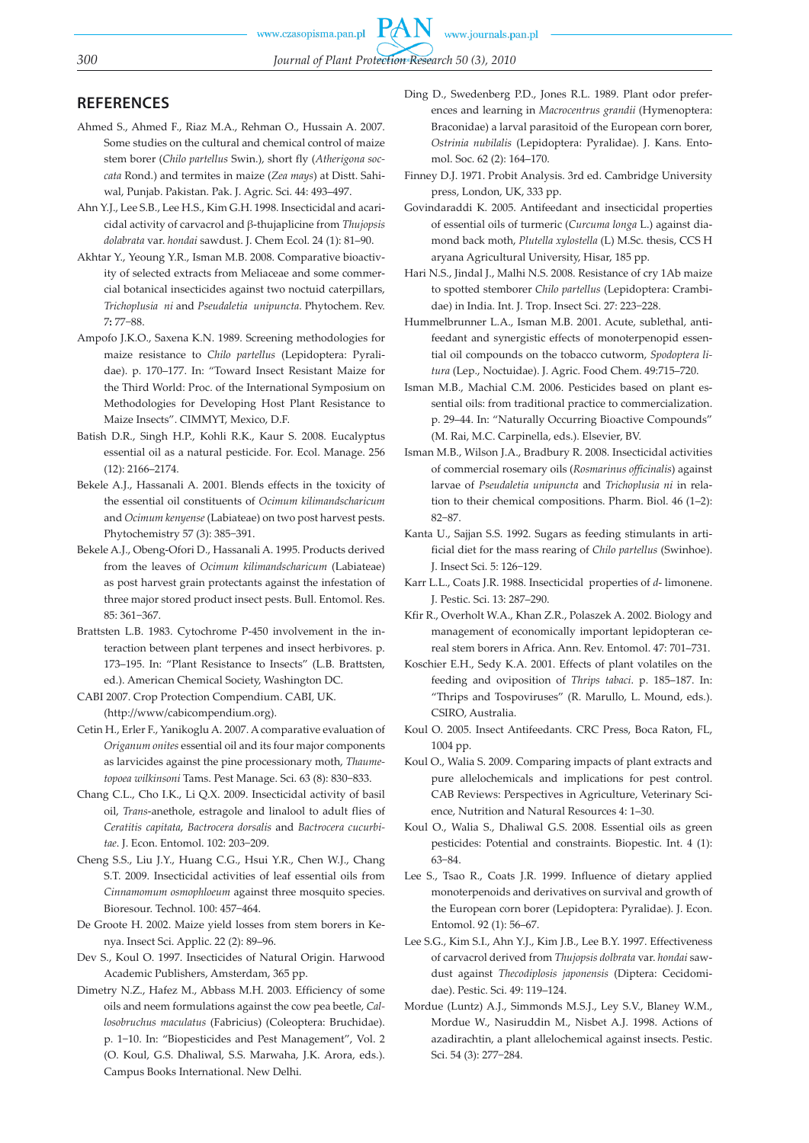# **REFERENCES**

- Ahmed S., Ahmed F., Riaz M.A., Rehman O., Hussain A. 2007. Some studies on the cultural and chemical control of maize stem borer (*Chilo partellus* Swin.), short fly (*Atherigona soccata* Rond.) and termites in maize (*Zea mays*) at Distt. Sahiwal, Punjab. Pakistan. Pak. J. Agric. Sci. 44: 493–497.
- Ahn Y.J., Lee S.B., Lee H.S., Kim G.H. 1998. Insecticidal and acaricidal activity of carvacrol and β-thujaplicine from *Thujopsis dolabrata* var. *hondai* sawdust. J. Chem Ecol. 24 (1): 81–90.
- Akhtar Y., Yeoung Y.R., Isman M.B. 2008. Comparative bioactivity of selected extracts from Meliaceae and some commercial botanical insecticides against two noctuid caterpillars, *Trichoplusia ni* and *Pseudaletia unipuncta*. Phytochem. Rev. 7**:** 77−88.
- Ampofo J.K.O., Saxena K.N. 1989. Screening methodologies for maize resistance to *Chilo partellus* (Lepidoptera: Pyralidae). p. 170–177. In: "Toward Insect Resistant Maize for the Third World: Proc. of the International Symposium on Methodologies for Developing Host Plant Resistance to Maize Insects". CIMMYT, Mexico, D.F.
- Batish D.R., Singh H.P., Kohli R.K., Kaur S. 2008. Eucalyptus essential oil as a natural pesticide. For. Ecol. Manage. 256 (12): 2166–2174.
- Bekele A.J., Hassanali A. 2001. Blends effects in the toxicity of the essential oil constituents of *Ocimum kilimandscharicum* and *Ocimum kenyense* (Labiateae) on two post harvest pests. Phytochemistry 57 (3): 385−391.
- Bekele A.J., Obeng-Ofori D., Hassanali A. 1995. Products derived from the leaves of *Ocimum kilimandscharicum* (Labiateae) as post harvest grain protectants against the infestation of three major stored product insect pests. Bull. Entomol. Res. 85: 361−367.
- Brattsten L.B. 1983. Cytochrome P-450 involvement in the interaction between plant terpenes and insect herbivores. p. 173–195. In: "Plant Resistance to Insects" (L.B. Brattsten, ed.). American Chemical Society, Washington DC.
- CABI 2007. Crop Protection Compendium. CABI, UK. (http://www/cabicompendium.org).
- Cetin H., Erler F., Yanikoglu A. 2007. A comparative evaluation of *Origanum onites* essential oil and its four major components as larvicides against the pine processionary moth, *Thaumetopoea wilkinsoni* Tams. Pest Manage. Sci. 63 (8): 830−833.
- Chang C.L., Cho I.K., Li Q.X. 2009. Insecticidal activity of basil oil, *Trans*-anethole, estragole and linalool to adult flies of *Ceratitis capitata*, *Bactrocera dorsalis* and *Bactrocera cucurbitae*. J. Econ. Entomol. 102: 203−209.
- Cheng S.S., Liu J.Y., Huang C.G., Hsui Y.R., Chen W.J., Chang S.T. 2009. Insecticidal activities of leaf essential oils from *Cinnamomum osmophloeum* against three mosquito species. Bioresour. Technol. 100: 457−464.
- De Groote H. 2002. Maize yield losses from stem borers in Kenya. Insect Sci. Applic. 22 (2): 89–96.
- Dev S., Koul O. 1997. Insecticides of Natural Origin. Harwood Academic Publishers, Amsterdam, 365 pp.
- Dimetry N.Z., Hafez M., Abbass M.H. 2003. Efficiency of some oils and neem formulations against the cow pea beetle, *Callosobruchus maculatus* (Fabricius) (Coleoptera: Bruchidae). p. 1−10. In: "Biopesticides and Pest Management", Vol. 2 (O. Koul, G.S. Dhaliwal, S.S. Marwaha, J.K. Arora, eds.). Campus Books International. New Delhi.
- Ding D., Swedenberg P.D., Jones R.L. 1989. Plant odor preferences and learning in *Macrocentrus grandii* (Hymenoptera: Braconidae) a larval parasitoid of the European corn borer, *Ostrinia nubilalis* (Lepidoptera: Pyralidae). J. Kans. Entomol. Soc. 62 (2): 164–170.
- Finney D.J. 1971. Probit Analysis. 3rd ed. Cambridge University press, London, UK, 333 pp.
- Govindaraddi K. 2005. Antifeedant and insecticidal properties of essential oils of turmeric (*Curcuma longa* L.) against diamond back moth, *Plutella xylostella* (L) M.Sc. thesis, CCS H aryana Agricultural University, Hisar, 185 pp.
- Hari N.S., Jindal J., Malhi N.S. 2008. Resistance of cry 1Ab maize to spotted stemborer *Chilo partellus* (Lepidoptera: Crambidae) in India. Int. J. Trop. Insect Sci. 27: 223−228.
- Hummelbrunner L.A., Isman M.B. 2001. Acute, sublethal, antifeedant and synergistic effects of monoterpenopid essential oil compounds on the tobacco cutworm, *Spodoptera litura* (Lep., Noctuidae). J. Agric. Food Chem. 49:715–720.
- Isman M.B., Machial C.M. 2006. Pesticides based on plant essential oils: from traditional practice to commercialization. p. 29–44. In: "Naturally Occurring Bioactive Compounds" (M. Rai, M.C. Carpinella, eds.). Elsevier, BV.
- Isman M.B., Wilson J.A., Bradbury R. 2008. Insecticidal activities of commercial rosemary oils (*Rosmarinus officinalis*) against larvae of *Pseudaletia unipuncta* and *Trichoplusia ni* in relation to their chemical compositions. Pharm. Biol. 46 (1–2): 82−87.
- Kanta U., Sajjan S.S. 1992. Sugars as feeding stimulants in artificial diet for the mass rearing of *Chilo partellus* (Swinhoe). J. Insect Sci. 5: 126−129.
- Karr L.L., Coats J.R. 1988. Insecticidal properties of *d* limonene. J. Pestic. Sci. 13: 287–290.
- Kfir R., Overholt W.A., Khan Z.R., Polaszek A. 2002. Biology and management of economically important lepidopteran cereal stem borers in Africa. Ann. Rev. Entomol. 47: 701–731.
- Koschier E.H., Sedy K.A. 2001. Effects of plant volatiles on the feeding and oviposition of *Thrips tabaci*. p. 185–187. In: "Thrips and Tospoviruses" (R. Marullo, L. Mound, eds.). CSIRO, Australia.
- Koul O. 2005. Insect Antifeedants. CRC Press, Boca Raton, FL, 1004 pp.
- Koul O., Walia S. 2009. Comparing impacts of plant extracts and pure allelochemicals and implications for pest control. CAB Reviews: Perspectives in Agriculture, Veterinary Science, Nutrition and Natural Resources 4: 1–30.
- Koul O., Walia S., Dhaliwal G.S. 2008. Essential oils as green pesticides: Potential and constraints. Biopestic. Int. 4 (1): 63−84.
- Lee S., Tsao R., Coats J.R. 1999. Influence of dietary applied monoterpenoids and derivatives on survival and growth of the European corn borer (Lepidoptera: Pyralidae). J. Econ. Entomol. 92 (1): 56–67.
- Lee S.G., Kim S.I., Ahn Y.J., Kim J.B., Lee B.Y. 1997. Effectiveness of carvacrol derived from *Thujopsis dolbrata* var. *hondai* sawdust against *Thecodiplosis japonensis* (Diptera: Cecidomidae). Pestic. Sci. 49: 119–124.
- Mordue (Luntz) A.J., Simmonds M.S.J., Ley S.V., Blaney W.M., Mordue W., Nasiruddin M., Nisbet A.J. 1998. Actions of azadirachtin, a plant allelochemical against insects. Pestic. Sci. 54 (3): 277−284.